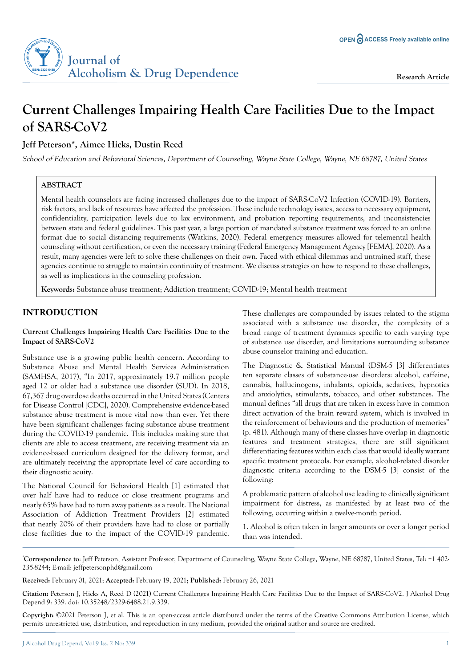

# **Current Challenges Impairing Health Care Facilities Due to the Impact of SARS-CoV2**

# **Jeff Peterson\*, Aimee Hicks, Dustin Reed**

School of Education and Behavioral Sciences, Department of Counseling, Wayne State College, Wayne, NE 68787, United States

# **ABSTRACT**

Mental health counselors are facing increased challenges due to the impact of SARS-CoV2 Infection (COVID-19). Barriers, risk factors, and lack of resources have affected the profession. These include technology issues, access to necessary equipment, confidentiality, participation levels due to lax environment, and probation reporting requirements, and inconsistencies between state and federal guidelines. This past year, a large portion of mandated substance treatment was forced to an online format due to social distancing requirements (Watkins, 2020). Federal emergency measures allowed for telemental health counseling without certification, or even the necessary training (Federal Emergency Management Agency [FEMA], 2020). As a result, many agencies were left to solve these challenges on their own. Faced with ethical dilemmas and untrained staff, these agencies continue to struggle to maintain continuity of treatment. We discuss strategies on how to respond to these challenges, as well as implications in the counseling profession.

**Keywords:** Substance abuse treatment; Addiction treatment; COVID-19; Mental health treatment

# **INTRODUCTION**

### **Current Challenges Impairing Health Care Facilities Due to the Impact of SARS-CoV2**

Substance use is a growing public health concern. According to Substance Abuse and Mental Health Services Administration (SAMHSA, 2017), "In 2017, approximately 19.7 million people aged 12 or older had a substance use disorder (SUD). In 2018, 67,367 drug overdose deaths occurred in the United States (Centers for Disease Control [CDC], 2020). Comprehensive evidence-based substance abuse treatment is more vital now than ever. Yet there have been significant challenges facing substance abuse treatment during the COVID-19 pandemic. This includes making sure that clients are able to access treatment, are receiving treatment via an evidence-based curriculum designed for the delivery format, and are ultimately receiving the appropriate level of care according to their diagnostic acuity.

The National Council for Behavioral Health [1] estimated that over half have had to reduce or close treatment programs and nearly 65% have had to turn away patients as a result. The National Association of Addiction Treatment Providers [2] estimated that nearly 20% of their providers have had to close or partially close facilities due to the impact of the COVID-19 pandemic. These challenges are compounded by issues related to the stigma associated with a substance use disorder, the complexity of a broad range of treatment dynamics specific to each varying type of substance use disorder, and limitations surrounding substance abuse counselor training and education.

The Diagnostic & Statistical Manual (DSM-5 [3] differentiates ten separate classes of substance-use disorders: alcohol, caffeine, cannabis, hallucinogens, inhalants, opioids, sedatives, hypnotics and anxiolytics, stimulants, tobacco, and other substances. The manual defines "all drugs that are taken in excess have in common direct activation of the brain reward system, which is involved in the reinforcement of behaviours and the production of memories" (p. 481). Although many of these classes have overlap in diagnostic features and treatment strategies, there are still significant differentiating features within each class that would ideally warrant specific treatment protocols. For example, alcohol-related disorder diagnostic criteria according to the DSM-5 [3] consist of the following:

A problematic pattern of alcohol use leading to clinically significant impairment for distress, as manifested by at least two of the following, occurring within a twelve-month period.

1. Alcohol is often taken in larger amounts or over a longer period than was intended.

**\* Correspondence to**: Jeff Peterson, Assistant Professor, Department of Counseling, Wayne State College, Wayne, NE 68787, United States, Tel: +1 402- 235-8244; E-mail: jeffpetersonphd@gmail.com

**Received:** February 01, 2021; **Accepted:** February 19, 2021; **Published:** February 26, 2021

**Citation:** Peterson J, Hicks A, Reed D (2021) Current Challenges Impairing Health Care Facilities Due to the Impact of SARS-CoV2. J Alcohol Drug Depend 9: 339. doi: 10.35248/2329-6488.21.9.339.

**Copyright:** ©2021 Peterson J, et al. This is an open-access article distributed under the terms of the Creative Commons Attribution License, which permits unrestricted use, distribution, and reproduction in any medium, provided the original author and source are credited.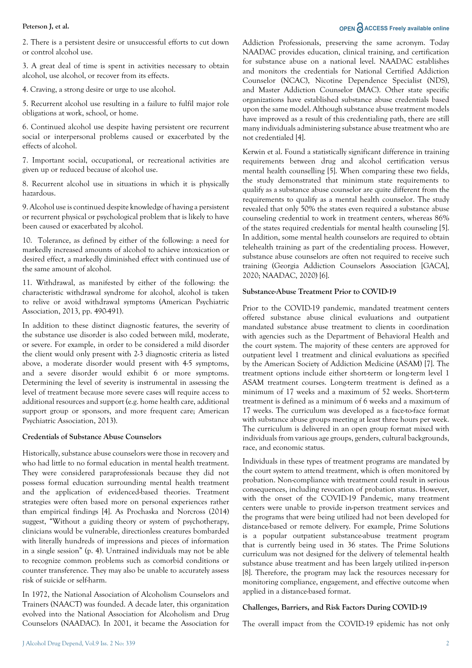# **Peterson J, et al. OPEN**  $\bigcap_{n=1}^{\infty}$  ACCESS Freely available online

2. There is a persistent desire or unsuccessful efforts to cut down or control alcohol use.

3. A great deal of time is spent in activities necessary to obtain alcohol, use alcohol, or recover from its effects.

4. Craving, a strong desire or urge to use alcohol.

5. Recurrent alcohol use resulting in a failure to fulfil major role obligations at work, school, or home.

6. Continued alcohol use despite having persistent ore recurrent social or interpersonal problems caused or exacerbated by the effects of alcohol.

7. Important social, occupational, or recreational activities are given up or reduced because of alcohol use.

8. Recurrent alcohol use in situations in which it is physically hazardous.

9. Alcohol use is continued despite knowledge of having a persistent or recurrent physical or psychological problem that is likely to have been caused or exacerbated by alcohol.

10. Tolerance, as defined by either of the following: a need for markedly increased amounts of alcohol to achieve intoxication or desired effect, a markedly diminished effect with continued use of the same amount of alcohol.

11. Withdrawal, as manifested by either of the following: the characteristic withdrawal syndrome for alcohol, alcohol is taken to relive or avoid withdrawal symptoms (American Psychiatric Association, 2013, pp. 490-491).

In addition to these distinct diagnostic features, the severity of the substance use disorder is also coded between mild, moderate, or severe. For example, in order to be considered a mild disorder the client would only present with 2-3 diagnostic criteria as listed above, a moderate disorder would present with 4-5 symptoms, and a severe disorder would exhibit 6 or more symptoms. Determining the level of severity is instrumental in assessing the level of treatment because more severe cases will require access to additional resources and support (e.g. home health care, additional support group or sponsors, and more frequent care; American Psychiatric Association, 2013).

### **Credentials of Substance Abuse Counselors**

Historically, substance abuse counselors were those in recovery and who had little to no formal education in mental health treatment. They were considered paraprofessionals because they did not possess formal education surrounding mental health treatment and the application of evidenced-based theories. Treatment strategies were often based more on personal experiences rather than empirical findings [4]. As Prochaska and Norcross (2014) suggest, "Without a guiding theory or system of psychotherapy, clinicians would be vulnerable, directionless creatures bombarded with literally hundreds of impressions and pieces of information in a single session" (p. 4). Untrained individuals may not be able to recognize common problems such as comorbid conditions or counter transference. They may also be unable to accurately assess risk of suicide or self-harm.

In 1972, the National Association of Alcoholism Counselors and Trainers (NAACT) was founded. A decade later, this organization evolved into the National Association for Alcoholism and Drug Counselors (NAADAC). In 2001, it became the Association for Addiction Professionals, preserving the same acronym. Today NAADAC provides education, clinical training, and certification for substance abuse on a national level. NAADAC establishes and monitors the credentials for National Certified Addiction Counselor (NCAC), Nicotine Dependence Specialist (NDS), and Master Addiction Counselor (MAC). Other state specific organizations have established substance abuse credentials based upon the same model. Although substance abuse treatment models have improved as a result of this credentialing path, there are still many individuals administering substance abuse treatment who are not credentialed [4].

Kerwin et al. Found a statistically significant difference in training requirements between drug and alcohol certification versus mental health counselling [5]. When comparing these two fields, the study demonstrated that minimum state requirements to qualify as a substance abuse counselor are quite different from the requirements to qualify as a mental health counselor. The study revealed that only 50% the states even required a substance abuse counseling credential to work in treatment centers, whereas 86% of the states required credentials for mental health counseling [5]. In addition, some mental health counselors are required to obtain telehealth training as part of the credentialing process. However, substance abuse counselors are often not required to receive such training (Georgia Addiction Counselors Association [GACA], 2020; NAADAC, 2020) [6].

### **Substance-Abuse Treatment Prior to COVID-19**

Prior to the COVID-19 pandemic, mandated treatment centers offered substance abuse clinical evaluations and outpatient mandated substance abuse treatment to clients in coordination with agencies such as the Department of Behavioral Health and the court system. The majority of these centers are approved for outpatient level 1 treatment and clinical evaluations as specified by the American Society of Addiction Medicine (ASAM) [7]. The treatment options include either short-term or long-term level 1 ASAM treatment courses. Long-term treatment is defined as a minimum of 17 weeks and a maximum of 52 weeks. Short-term treatment is defined as a minimum of 6 weeks and a maximum of 17 weeks. The curriculum was developed as a face-to-face format with substance abuse groups meeting at least three hours per week. The curriculum is delivered in an open group format mixed with individuals from various age groups, genders, cultural backgrounds, race, and economic status.

Individuals in these types of treatment programs are mandated by the court system to attend treatment, which is often monitored by probation. Non-compliance with treatment could result in serious consequences, including revocation of probation status. However, with the onset of the COVID-19 Pandemic, many treatment centers were unable to provide in-person treatment services and the programs that were being utilized had not been developed for distance-based or remote delivery. For example, Prime Solutions is a popular outpatient substance-abuse treatment program that is currently being used in 36 states. The Prime Solutions curriculum was not designed for the delivery of telemental health substance abuse treatment and has been largely utilized in-person [8]. Therefore, the program may lack the resources necessary for monitoring compliance, engagement, and effective outcome when applied in a distance-based format.

### **Challenges, Barriers, and Risk Factors During COVID-19**

The overall impact from the COVID-19 epidemic has not only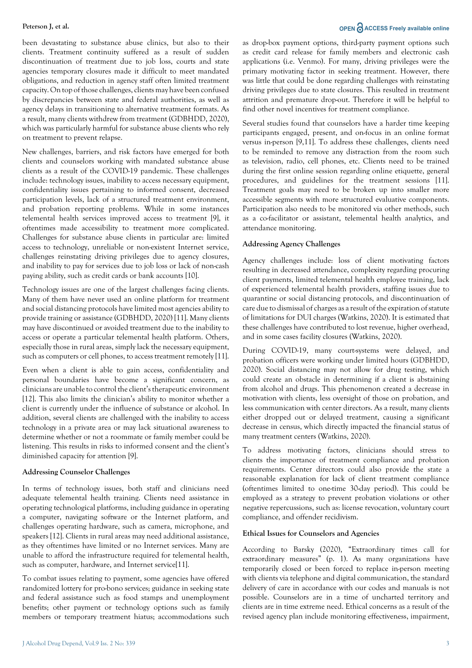been devastating to substance abuse clinics, but also to their clients. Treatment continuity suffered as a result of sudden discontinuation of treatment due to job loss, courts and state agencies temporary closures made it difficult to meet mandated obligations, and reduction in agency staff often limited treatment capacity. On top of those challenges, clients may have been confused by discrepancies between state and federal authorities, as well as agency delays in transitioning to alternative treatment formats. As a result, many clients withdrew from treatment (GDBHDD, 2020), which was particularly harmful for substance abuse clients who rely on treatment to prevent relapse.

New challenges, barriers, and risk factors have emerged for both clients and counselors working with mandated substance abuse clients as a result of the COVID-19 pandemic. These challenges include: technology issues, inability to access necessary equipment, confidentiality issues pertaining to informed consent, decreased participation levels, lack of a structured treatment environment, and probation reporting problems. While in some instances telemental health services improved access to treatment [9], it oftentimes made accessibility to treatment more complicated. Challenges for substance abuse clients in particular are: limited access to technology, unreliable or non-existent Internet service, challenges reinstating driving privileges due to agency closures, and inability to pay for services due to job loss or lack of non-cash paying ability, such as credit cards or bank accounts [10].

Technology issues are one of the largest challenges facing clients. Many of them have never used an online platform for treatment and social distancing protocols have limited most agencies ability to provide training or assistance (GDBHDD, 2020) [11]. Many clients may have discontinued or avoided treatment due to the inability to access or operate a particular telemental health platform. Others, especially those in rural areas, simply lack the necessary equipment, such as computers or cell phones, to access treatment remotely [11].

Even when a client is able to gain access, confidentiality and personal boundaries have become a significant concern, as clinicians are unable to control the client's therapeutic environment [12]. This also limits the clinician's ability to monitor whether a client is currently under the influence of substance or alcohol. In addition, several clients are challenged with the inability to access technology in a private area or may lack situational awareness to determine whether or not a roommate or family member could be listening. This results in risks to informed consent and the client's diminished capacity for attention [9].

### **Addressing Counselor Challenges**

In terms of technology issues, both staff and clinicians need adequate telemental health training. Clients need assistance in operating technological platforms, including guidance in operating a computer, navigating software or the Internet platform, and challenges operating hardware, such as camera, microphone, and speakers [12]. Clients in rural areas may need additional assistance, as they oftentimes have limited or no Internet services. Many are unable to afford the infrastructure required for telemental health, such as computer, hardware, and Internet service[11].

To combat issues relating to payment, some agencies have offered randomized lottery for pro-bono services; guidance in seeking state and federal assistance such as food stamps and unemployment benefits; other payment or technology options such as family members or temporary treatment hiatus; accommodations such as drop-box payment options, third-party payment options such as credit card release for family members and electronic cash applications (i.e. Venmo). For many, driving privileges were the primary motivating factor in seeking treatment. However, there was little that could be done regarding challenges with reinstating driving privileges due to state closures. This resulted in treatment attrition and premature drop-out. Therefore it will be helpful to find other novel incentives for treatment compliance.

Several studies found that counselors have a harder time keeping participants engaged, present, and on-focus in an online format versus in-person [9,11]. To address these challenges, clients need to be reminded to remove any distraction from the room such as television, radio, cell phones, etc. Clients need to be trained during the first online session regarding online etiquette, general procedures, and guidelines for the treatment sessions [11]. Treatment goals may need to be broken up into smaller more accessible segments with more structured evaluative components. Participation also needs to be monitored via other methods, such as a co-facilitator or assistant, telemental health analytics, and attendance monitoring.

#### **Addressing Agency Challenges**

Agency challenges include: loss of client motivating factors resulting in decreased attendance, complexity regarding procuring client payments, limited telemental health employee training, lack of experienced telemental health providers, staffing issues due to quarantine or social distancing protocols, and discontinuation of care due to dismissal of charges as a result of the expiration of statute of limitations for DUI charges (Watkins, 2020). It is estimated that these challenges have contributed to lost revenue, higher overhead, and in some cases facility closures (Watkins, 2020).

During COVID-19, many court-systems were delayed, and probation officers were working under limited hours (GDBHDD, 2020). Social distancing may not allow for drug testing, which could create an obstacle in determining if a client is abstaining from alcohol and drugs. This phenomenon created a decrease in motivation with clients, less oversight of those on probation, and less communication with center directors. As a result, many clients either dropped out or delayed treatment, causing a significant decrease in census, which directly impacted the financial status of many treatment centers (Watkins, 2020).

To address motivating factors, clinicians should stress to clients the importance of treatment compliance and probation requirements. Center directors could also provide the state a reasonable explanation for lack of client treatment compliance (oftentimes limited to one-time 30-day period). This could be employed as a strategy to prevent probation violations or other negative repercussions, such as: license revocation, voluntary court compliance, and offender recidivism.

#### **Ethical Issues for Counselors and Agencies**

According to Barsky (2020), "Extraordinary times call for extraordinary measures" (p. 1). As many organizations have temporarily closed or been forced to replace in-person meeting with clients via telephone and digital communication, the standard delivery of care in accordance with our codes and manuals is not possible. Counselors are in a time of uncharted territory and clients are in time extreme need. Ethical concerns as a result of the revised agency plan include monitoring effectiveness, impairment,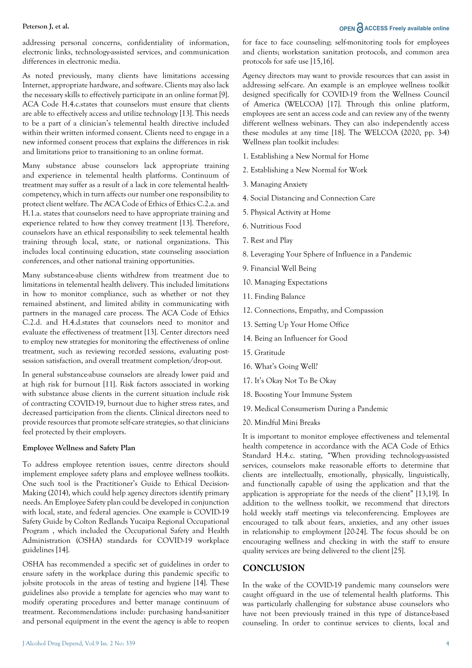addressing personal concerns, confidentiality of information, electronic links, technology-assisted services, and communication differences in electronic media.

As noted previously, many clients have limitations accessing Internet, appropriate hardware, and software. Clients may also lack the necessary skills to effectively participate in an online format [9]. ACA Code H.4.c.states that counselors must ensure that clients are able to effectively access and utilize technology [13]. This needs to be a part of a clinician's telemental health directive included within their written informed consent. Clients need to engage in a new informed consent process that explains the differences in risk and limitations prior to transitioning to an online format.

Many substance abuse counselors lack appropriate training and experience in telemental health platforms. Continuum of treatment may suffer as a result of a lack in core telemental healthcompetency, which in turn affects our number one responsibility to protect client welfare. The ACA Code of Ethics of Ethics C.2.a. and H.1.a. states that counselors need to have appropriate training and experience related to how they convey treatment [13]. Therefore, counselors have an ethical responsibility to seek telemental health training through local, state, or national organizations. This includes local continuing education, state counseling association conferences, and other national training opportunities.

Many substance-abuse clients withdrew from treatment due to limitations in telemental health delivery. This included limitations in how to monitor compliance, such as whether or not they remained abstinent, and limited ability in communicating with partners in the managed care process. The ACA Code of Ethics C.2.d. and H.4.d.states that counselors need to monitor and evaluate the effectiveness of treatment [13]. Center directors need to employ new strategies for monitoring the effectiveness of online treatment, such as reviewing recorded sessions, evaluating postsession satisfaction, and overall treatment completion/drop-out.

In general substance-abuse counselors are already lower paid and at high risk for burnout [11]. Risk factors associated in working with substance abuse clients in the current situation include risk of contracting COVID-19, burnout due to higher stress rates, and decreased participation from the clients. Clinical directors need to provide resources that promote self-care strategies, so that clinicians feel protected by their employers.

#### **Employee Wellness and Safety Plan**

To address employee retention issues, centre directors should implement employee safety plans and employee wellness toolkits. One such tool is the Practitioner's Guide to Ethical Decision-Making (2014), which could help agency directors identify primary needs. An Employee Safety plan could be developed in conjunction with local, state, and federal agencies. One example is COVID-19 Safety Guide by Colton Redlands Yucaipa Regional Occupational Program , which included the Occupational Safety and Health Administration (OSHA) standards for COVID-19 workplace guidelines [14].

OSHA has recommended a specific set of guidelines in order to ensure safety in the workplace during this pandemic specific to jobsite protocols in the areas of testing and hygiene [14]. These guidelines also provide a template for agencies who may want to modify operating procedures and better manage continuum of treatment. Recommendations include: purchasing hand-sanitizer and personal equipment in the event the agency is able to reopen

for face to face counseling; self-monitoring tools for employees and clients; workstation sanitation protocols, and common area protocols for safe use [15,16].

Agency directors may want to provide resources that can assist in addressing self-care. An example is an employee wellness toolkit designed specifically for COVID-19 from the Wellness Council of America (WELCOA) [17]. Through this online platform, employees are sent an access code and can review any of the twenty different wellness webinars. They can also independently access these modules at any time [18]. The WELCOA (2020, pp. 3-4) Wellness plan toolkit includes:

- 1. Establishing a New Normal for Home
- 2. Establishing a New Normal for Work
- 3. Managing Anxiety
- 4. Social Distancing and Connection Care
- 5. Physical Activity at Home
- 6. Nutritious Food
- 7. Rest and Play
- 8. Leveraging Your Sphere of Influence in a Pandemic
- 9. Financial Well Being
- 10. Managing Expectations
- 11. Finding Balance
- 12. Connections, Empathy, and Compassion
- 13. Setting Up Your Home Office
- 14. Being an Influencer for Good
- 15. Gratitude
- 16. What's Going Well?
- 17. It's Okay Not To Be Okay
- 18. Boosting Your Immune System
- 19. Medical Consumerism During a Pandemic
- 20. Mindful Mini Breaks

It is important to monitor employee effectiveness and telemental health competence in accordance with the ACA Code of Ethics Standard H.4.c. stating, "When providing technology-assisted services, counselors make reasonable efforts to determine that clients are intellectually, emotionally, physically, linguistically, and functionally capable of using the application and that the application is appropriate for the needs of the client" [13,19]. In addition to the wellness toolkit, we recommend that directors hold weekly staff meetings via teleconferencing. Employees are encouraged to talk about fears, anxieties, and any other issues in relationship to employment [20-24]. The focus should be on encouraging wellness and checking in with the staff to ensure quality services are being delivered to the client [25].

# **CONCLUSION**

In the wake of the COVID-19 pandemic many counselors were caught off-guard in the use of telemental health platforms. This was particularly challenging for substance abuse counselors who have not been previously trained in this type of distance-based counseling. In order to continue services to clients, local and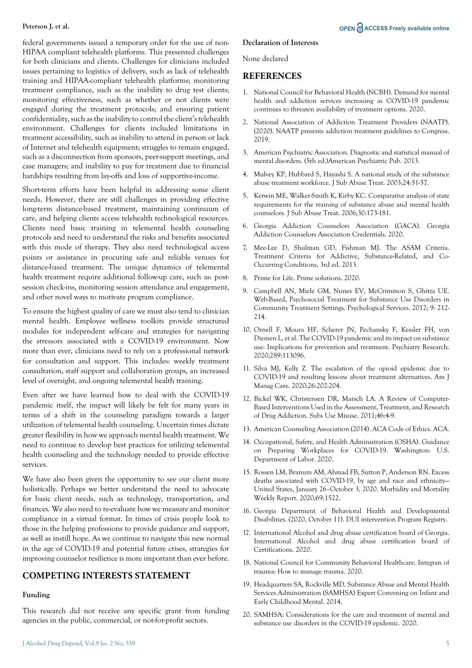federal governments issued a temporary order for the use of non-HIPAA compliant telehealth platforms. This presented challenges for both clinicians and clients. Challenges for clinicians included issues pertaining to logistics of delivery, such as lack of telehealth training and HIPAA-compliant telehealth platforms; monitoring treatment compliance, such as the inability to drug test clients; monitoring effectiveness, such as whether or not clients were engaged during the treatment protocols; and ensuring patient confidentiality, such as the inability to control the client's telehealth environment. Challenges for clients included limitations in treatment accessibility, such as inability to attend in person or lack of Internet and telehealth equipment; struggles to remain engaged, such as a disconnection from sponsors, peer-support meetings, and case managers; and inability to pay for treatment due to financial hardships resulting from lay-offs and loss of supportive-income.

Short-term efforts have been helpful in addressing some client needs. However, there are still challenges in providing effective long-term distance-based treatment, maintaining continuum of care, and helping clients access telehealth technological resources. Clients need basic training in telemental health counseling protocols and need to understand the risks and benefits associated with this mode of therapy. They also need technological access points or assistance in procuring safe and reliable venues for distance-based treatment. The unique dynamics of telemental health treatment require additional follow-up care, such as: postsession check-ins, monitoring session attendance and engagement, and other novel ways to motivate program compliance.

To ensure the highest quality of care we must also tend to clinician mental health. Employee wellness toolkits provide structured modules for independent self-care and strategies for navigating the stressors associated with a COVID-19 environment. Now more than ever, clinicians need to rely on a professional network for consultation and support. This includes: weekly treatment consultation, staff support and collaboration groups, an increased level of oversight, and ongoing telemental health training.

Even after we have learned how to deal with the COVID-19 pandemic itself, the impact will likely be felt for many years in terms of a shift in the counseling paradigm towards a larger utilization of telemental health counseling. Uncertain times dictate greater flexibility in how we approach mental health treatment. We need to continue to develop best practices for utilizing telemental health counseling and the technology needed to provide effective services.

We have also been given the opportunity to see our client more holistically. Perhaps we better understand the need to advocate for basic client needs, such as technology, transportation, and finances. We also need to re-evaluate how we measure and monitor compliance in a virtual format. In times of crisis people look to those in the helping professions to provide guidance and support, as well as instill hope. As we continue to navigate this new normal in the age of COVID-19 and potential future crises, strategies for improving counselor resilience is more important than ever before.

# **COMPETING INTERESTS STATEMENT**

#### **Funding**

This research did not receive any specific grant from funding agencies in the public, commercial, or not-for-profit sectors.

#### **Declaration of Interests**

None declared

# **REFERENCES**

- 1. National Council for Behavioral Health (NCBH). Demand for mental health and addiction services increasing as COVID-19 pandemic continues to threaten availability of treatment options. 2020.
- 2. National Association of Addiction Treatment Providers (NAATP). (2020). NAATP presents addiction treatment guidelines to Congress. 2019.
- 3. American Psychiatric Association. Diagnostic and statistical manual of mental disorders. (5th ed.)American Psychiatric Pub. 2013.
- 4. Mulvey KP, Hubbard S, Hayashi S. A national study of the substance abuse treatment workforce. J Sub Abuse Treat. 2003;24:51-57.
- 5. Kerwin ME, Walker-Smith K, Kirby KC. Comparative analysis of state requirements for the training of substance abuse and mental health counselors. J Sub Abuse Treat. 2006;30:173-181.
- 6. Georgia Addiction Counselors Association (GACA). Georgia Addiction Counselors Association Credentials. 2020.
- 7. Mee-Lee D, Shulman GD, Fishman MJ. The ASAM Criteria. Treatment Criteria for Addictive, Substance-Related, and Co-Occurring Conditions, 3rd ed. 2013.
- 8. Prime for Life. Prime solutions. 2020.
- 9. Campbell AN, Miele GM, Nunes EV, McCrimmon S, Ghitza UE. Web-Based, Psychosocial Treatment for Substance Use Disorders in Community Treatment Settings. Psychological Services. 2012; 9: 212- 214.
- 10. Ornell F, Moura HF, Scherer JN, Pechansky F, Kessler FH, von Diemen L, et al. The COVID-19 pandemic and its impact on substance use: Implications for prevention and treatment. Psychiatry Research. 2020;289:113096.
- 11. Silva MJ, Kelly Z. The escalation of the opioid epidemic due to COVID-19 and resulting lessons about treatment alternatives. Am J Manag Care. 2020;26:202-204.
- 12. Bickel WK, Christensen DR, Marsch LA. A Review of Computer-Based Interventions Used in the Assessment, Treatment, and Research of Drug Addiction. Subs Use Misuse. 2011;46:4-9.
- 13. American Counseling Association (2014). ACA Code of Ethics. ACA.
- 14. Occupational, Safety, and Health Administration (OSHA). Guidance on Preparing Workplaces for COVID-19. Washington: U.S. Department of Labor. 2020.
- 15. Rossen LM, Branum AM, Ahmad FB, Sutton P, Anderson RN. Excess deaths associated with COVID-19, by age and race and ethnicity— United States, January 26–October 3, 2020. Morbidity and Mortality Weekly Report. 2020;69:1522.
- 16. Georgia Department of Behavioral Health and Developmental Disabilities. (2020, October 11). DUI intervention Program Registry.
- 17. International Alcohol and drug abuse certification board of Georgia. International Alcohol and drug abuse certification board of Certifications. 2020.
- 18. National Council for Community Behavioral Healthcare. Integran of trauma: How to manage trauma. 2020.
- 19. Headquarters SA, Rockville MD. Substance Abuse and Mental Health Services Administration (SAMHSA) Expert Convening on Infant and Early Childhood Mental. 2014.
- 20. SAMHSA: Considerations for the care and treatment of mental and substance use disorders in the COVID-19 epidemic. 2020.